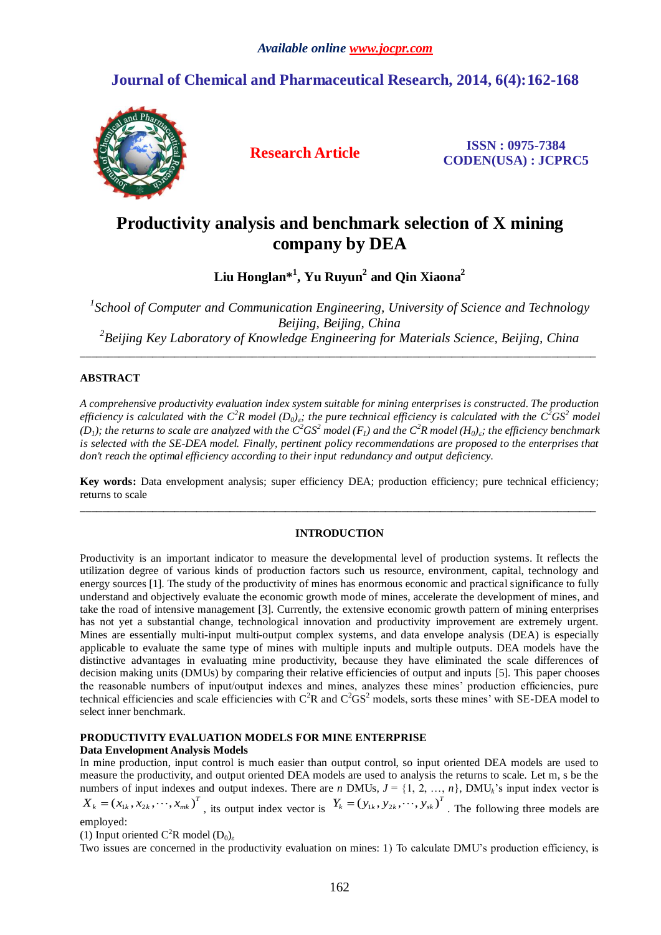# **Journal of Chemical and Pharmaceutical Research, 2014, 6(4):162-168**



**Research Article ISSN : 0975-7384 CODEN(USA) : JCPRC5**

# **Productivity analysis and benchmark selection of X mining company by DEA**

**Liu Honglan\*<sup>1</sup> , Yu Ruyun<sup>2</sup> and Qin Xiaona<sup>2</sup>**

<sup>1</sup> School of Computer and Communication Engineering, University of Science and Technology *Beijing, Beijing, China 2 Beijing Key Laboratory of Knowledge Engineering for Materials Science, Beijing, China* \_\_\_\_\_\_\_\_\_\_\_\_\_\_\_\_\_\_\_\_\_\_\_\_\_\_\_\_\_\_\_\_\_\_\_\_\_\_\_\_\_\_\_\_\_\_\_\_\_\_\_\_\_\_\_\_\_\_\_\_\_\_\_\_\_\_\_\_\_\_\_\_\_\_\_\_\_\_\_\_\_\_\_\_\_\_\_\_\_\_\_\_\_

## **ABSTRACT**

*A comprehensive productivity evaluation index system suitable for mining enterprises is constructed. The production efficiency is calculated with the*  $C^2R$  *model*  $(D_0)_s$ ; the pure technical efficiency is calculated with the  $C^2GS^2$  model *(D<sub>1</sub>); the returns to scale are analyzed with the*  $C^2GS^2$  *model (F<sub>1</sub>) and the*  $C^2R$  *model (H<sub>0</sub>)<sub><i>is</sub>; the efficiency benchmark*</sub> *is selected with the SE-DEA model. Finally, pertinent policy recommendations are proposed to the enterprises that don't reach the optimal efficiency according to their input redundancy and output deficiency.*

**Key words:** Data envelopment analysis; super efficiency DEA; production efficiency; pure technical efficiency; returns to scale \_\_\_\_\_\_\_\_\_\_\_\_\_\_\_\_\_\_\_\_\_\_\_\_\_\_\_\_\_\_\_\_\_\_\_\_\_\_\_\_\_\_\_\_\_\_\_\_\_\_\_\_\_\_\_\_\_\_\_\_\_\_\_\_\_\_\_\_\_\_\_\_\_\_\_\_\_\_\_\_\_\_\_\_\_\_\_\_\_\_\_\_\_

## **INTRODUCTION**

Productivity is an important indicator to measure the developmental level of production systems. It reflects the utilization degree of various kinds of production factors such us resource, environment, capital, technology and energy sources [1]. The study of the productivity of mines has enormous economic and practical significance to fully understand and objectively evaluate the economic growth mode of mines, accelerate the development of mines, and take the road of intensive management [3]. Currently, the extensive economic growth pattern of mining enterprises has not yet a substantial change, technological innovation and productivity improvement are extremely urgent. Mines are essentially multi-input multi-output complex systems, and data envelope analysis (DEA) is especially applicable to evaluate the same type of mines with multiple inputs and multiple outputs. DEA models have the distinctive advantages in evaluating mine productivity, because they have eliminated the scale differences of decision making units (DMUs) by comparing their relative efficiencies of output and inputs [5]. This paper chooses the reasonable numbers of input/output indexes and mines, analyzes these mines' production efficiencies, pure technical efficiencies and scale efficiencies with  $C^2R$  and  $C^2GS^2$  models, sorts these mines' with SE-DEA model to select inner benchmark.

## **PRODUCTIVITY EVALUATION MODELS FOR MINE ENTERPRISE**

## **Data Envelopment Analysis Models**

In mine production, input control is much easier than output control, so input oriented DEA models are used to measure the productivity, and output oriented DEA models are used to analysis the returns to scale. Let m, s be the numbers of input indexes and output indexes. There are *n* DMUs,  $J = \{1, 2, ..., n\}$ , DMU<sub>k</sub>'s input index vector is  $X_k = (x_{1k}, x_{2k}, \dots, x_{mk})^T$ , its output index vector is  $Y_k = (y_{1k}, y_{2k}, \dots, y_{sk})^T$ . The following three models

employed:

(1) Input oriented  $C^2R$  model  $(D_0)_{\varepsilon}$ 

Two issues are concerned in the productivity evaluation on mines: 1) To calculate DMU's production efficiency, is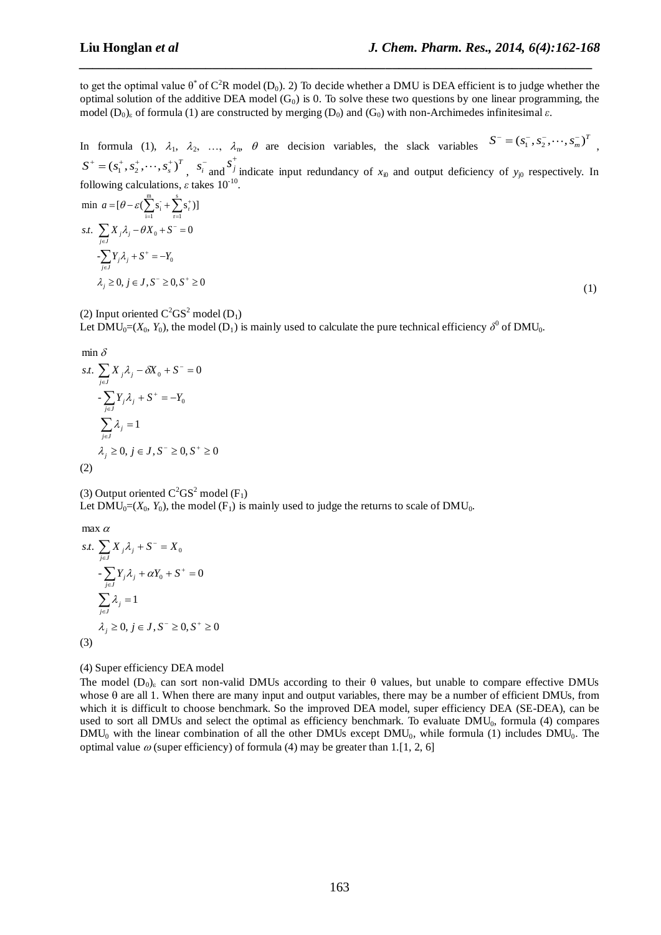to get the optimal value  $\theta^*$  of  $C^2R$  model (D<sub>0</sub>). 2) To decide whether a DMU is DEA efficient is to judge whether the optimal solution of the additive DEA model  $(G_0)$  is 0. To solve these two questions by one linear programming, the model  $(D_0)$  of formula (1) are constructed by merging  $(D_0)$  and  $(G_0)$  with non-Archimedes infinitesimal  $\varepsilon$ .

*\_\_\_\_\_\_\_\_\_\_\_\_\_\_\_\_\_\_\_\_\_\_\_\_\_\_\_\_\_\_\_\_\_\_\_\_\_\_\_\_\_\_\_\_\_\_\_\_\_\_\_\_\_\_\_\_\_\_\_\_\_\_\_\_\_\_\_\_\_\_\_\_\_\_\_\_\_*

In formula (1),  $\lambda_1$ ,  $\lambda_2$ , ...,  $\lambda_n$ ,  $\theta$  are decision variables, the slack variables  $S^-(s_1^-, s_2^-, \dots, s_m^-)^T$ ,  $S^+ = (s_1^+, s_2^+, \cdots, s_s^+)^T$ ,  $s_i^-$  and  $s_j^+$ indicate input redundancy of  $x_{i0}$  and output deficiency of  $y_{j0}$  respectively. In

following calculations, 
$$
\varepsilon
$$
 takes 10<sup>-10</sup>.  
\nmin  $a = [\theta - \varepsilon (\sum_{i=1}^{m} s_i + \sum_{r=1}^{s} s_r^*)]$   
\n*s.t.*  $\sum_{j \in J} X_j \lambda_j - \theta X_0 + S^- = 0$   
\n $-\sum_{j \in J} Y_j \lambda_j + S^+ = -Y_0$   
\n $\lambda_j \ge 0, j \in J, S^- \ge 0, S^+ \ge 0$ 

(1)

(2) Input oriented  $C^2GS^2$  model (D<sub>1</sub>)

Let  $\text{DMU}_0 = (X_0, Y_0)$ , the model (D<sub>1</sub>) is mainly used to calculate the pure technical efficiency  $\delta^0$  of DMU<sub>0</sub>.

$$
\min \delta
$$
\n
$$
s.t. \sum_{j \in J} X_j \lambda_j - \delta X_0 + S^- = 0
$$
\n
$$
- \sum_{j \in J} Y_j \lambda_j + S^+ = -Y_0
$$
\n
$$
\sum_{j \in J} \lambda_j = 1
$$
\n
$$
\lambda_j \ge 0, j \in J, S^- \ge 0, S^+ \ge 0
$$
\n(2)

(3) Output oriented  $C^2GS^2$  model (F<sub>1</sub>)

Let  $\text{DMU}_0 = (X_0, Y_0)$ , the model  $(F_1)$  is mainly used to judge the returns to scale of  $\text{DMU}_0$ .

 $max \alpha$ 

s.t. 
$$
\sum_{j\in J} X_j \lambda_j + S^- = X_0
$$

$$
- \sum_{j\in J} Y_j \lambda_j + \alpha Y_0 + S^+ = 0
$$

$$
\sum_{j\in J} \lambda_j = 1
$$

$$
\lambda_j \ge 0, j \in J, S^- \ge 0, S^+ \ge 0
$$
(3)

## (4) Super efficiency DEA model

The model  $(D_0)$ <sub>c</sub> can sort non-valid DMUs according to their  $\theta$  values, but unable to compare effective DMUs whose  $\theta$  are all 1. When there are many input and output variables, there may be a number of efficient DMUs, from which it is difficult to choose benchmark. So the improved DEA model, super efficiency DEA (SE-DEA), can be used to sort all DMUs and select the optimal as efficiency benchmark. To evaluate DMU<sub>0</sub>, formula (4) compares  $DMU_0$  with the linear combination of all the other DMUs except  $DMU_0$ , while formula (1) includes  $DMU_0$ . The optimal value  $\omega$  (super efficiency) of formula (4) may be greater than 1.[1, 2, 6]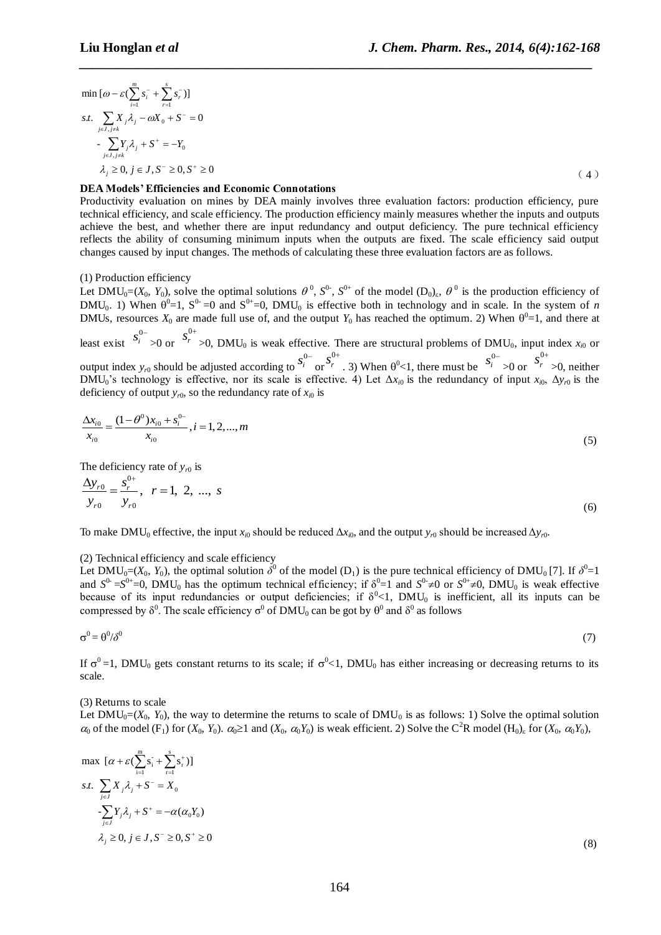$$
\min [\omega - \varepsilon (\sum_{i=1}^{m} s_i^{-} + \sum_{r=1}^{s} s_r^{-})]
$$
  
s.t. 
$$
\sum_{j \in J, j \neq k} X_j \lambda_j - \omega X_0 + S^- = 0
$$

$$
- \sum_{j \in J, j \neq k} Y_j \lambda_j + S^+ = -Y_0
$$

$$
\lambda_j \ge 0, j \in J, S^- \ge 0, S^+ \ge 0
$$
(4)

*\_\_\_\_\_\_\_\_\_\_\_\_\_\_\_\_\_\_\_\_\_\_\_\_\_\_\_\_\_\_\_\_\_\_\_\_\_\_\_\_\_\_\_\_\_\_\_\_\_\_\_\_\_\_\_\_\_\_\_\_\_\_\_\_\_\_\_\_\_\_\_\_\_\_\_\_\_*

## **DEA Models' Efficiencies and Economic Connotations**

Productivity evaluation on mines by DEA mainly involves three evaluation factors: production efficiency, pure technical efficiency, and scale efficiency. The production efficiency mainly measures whether the inputs and outputs achieve the best, and whether there are input redundancy and output deficiency. The pure technical efficiency reflects the ability of consuming minimum inputs when the outputs are fixed. The scale efficiency said output changes caused by input changes. The methods of calculating these three evaluation factors are as follows.

## (1) Production efficiency

Let DMU<sub>0</sub>=( $X_0$ ,  $Y_0$ ), solve the optimal solutions  $\theta^0$ ,  $S^{0}$ ,  $S^{0+}$  of the model ( $D_0$ )<sub>ε</sub>,  $\theta^0$  is the production efficiency of  $DMU_0$ . 1) When  $\theta^0 = 1$ ,  $S^0 = 0$  and  $S^{0+}=0$ ,  $DMU_0$  is effective both in technology and in scale. In the system of *n* DMUs, resources  $X_0$  are made full use of, and the output  $Y_0$  has reached the optimum. 2) When  $\theta^0 = 1$ , and there at 0

least exist  $s_i^{0-}$ >0 or  $s_r^{0+}$  $>0$ , DMU<sub>0</sub> is weak effective. There are structural problems of DMU<sub>0</sub>, input index  $x_{i0}$  or output index  $y_{r0}$  should be adjusted according to  $s_i^{0-}$ or  $\mathbf 0$  $s_r^{0+}$ . 3) When  $\theta^0$  < 1, there must be  $s_i^{0-}$ >0 or  $\mathbf 0$  $s_r^{0+}$ >0, neither DMU<sub>0</sub>'s technology is effective, nor its scale is effective. 4) Let  $\Delta x_{i0}$  is the redundancy of input  $x_{i0}$ ,  $\Delta y_{r0}$  is the deficiency of output  $y_{r0}$ , so the redundancy rate of  $x_{i0}$  is

$$
\frac{\Delta x_{i0}}{x_{i0}} = \frac{(1 - \theta^0) x_{i0} + s_i^{0-}}{x_{i0}}, i = 1, 2, ..., m
$$
\n(5)

The deficiency rate of  $y_{r0}$  is

$$
\frac{\Delta y_{r0}}{y_{r0}} = \frac{s_r^{0+}}{y_{r0}}, \quad r = 1, 2, ..., s
$$
\n(6)

To make DMU<sub>0</sub> effective, the input  $x_{i0}$  should be reduced  $\Delta x_{i0}$ , and the output  $y_{r0}$  should be increased  $\Delta y_{r0}$ .

#### (2) Technical efficiency and scale efficiency

Let DMU<sub>0</sub>=( $X_0$ ,  $Y_0$ ), the optimal solution  $\delta^0$  of the model (D<sub>1</sub>) is the pure technical efficiency of DMU<sub>0</sub>[7]. If  $\delta^0=1$ and  $S^0 = S^{0+} = 0$ , DMU<sub>0</sub> has the optimum technical efficiency; if  $\delta^0 = 1$  and  $S^0 \neq 0$  or  $S^{0+} \neq 0$ , DMU<sub>0</sub> is weak effective because of its input redundancies or output deficiencies; if  $\delta^0$  <1, DMU<sub>0</sub> is inefficient, all its inputs can be compressed by  $\delta^0$ . The scale efficiency  $\sigma^0$  of DMU<sub>0</sub> can be got by  $\theta^0$  and  $\delta^0$  as follows

$$
\sigma^0 = \theta^0/\delta^0
$$

(7)

If  $\sigma^0$  =1, DMU<sub>0</sub> gets constant returns to its scale; if  $\sigma^0$  <1, DMU<sub>0</sub> has either increasing or decreasing returns to its scale.

(3) Returns to scale

Let  $DMU_0 = (X_0, Y_0)$ , the way to determine the returns to scale of  $DMU_0$  is as follows: 1) Solve the optimal solution  $\alpha_0$  of the model (F<sub>1</sub>) for  $(X_0, Y_0)$ .  $\alpha_0 \ge 1$  and  $(X_0, \alpha_0 Y_0)$  is weak efficient. 2) Solve the C<sup>2</sup>R model (H<sub>0</sub>)<sub>ε</sub> for  $(X_0, \alpha_0 Y_0)$ ,

$$
\max \left[ \alpha + \varepsilon \left( \sum_{i=1}^{m} s_i^{\cdot} + \sum_{r=1}^{s} s_r^{\cdot} \right) \right]
$$
  
s.t. 
$$
\sum_{j \in J} X_j \lambda_j + S^{\cdot} = X_0
$$

$$
- \sum_{j \in J} Y_j \lambda_j + S^{\cdot} = -\alpha(\alpha_0 Y_0)
$$

$$
\lambda_j \ge 0, j \in J, S^{-} \ge 0, S^{+} \ge 0
$$

$$
(8)
$$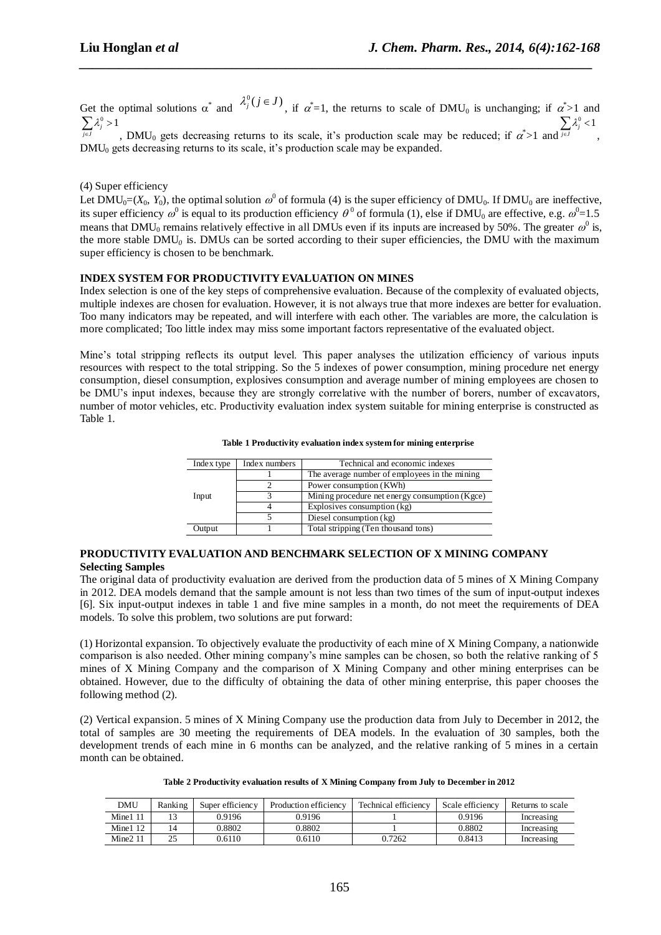Get the optimal solutions  $\alpha^*$  and  $\lambda_j^0(j \in J)$ , if  $\alpha^* = 1$ , the returns to scale of DMU<sub>0</sub> is unchanging; if  $\alpha^* > 1$  and  $\sum_{j\in J} \lambda_j^0 > 1$  $\lambda'$  $\sum_{j\in J}\lambda_j^0>$  $\sum_{j\in J}\lambda_j^0 < 1$ λ  $\sum_{j\in J}\lambda_j^0 <$ 

*\_\_\_\_\_\_\_\_\_\_\_\_\_\_\_\_\_\_\_\_\_\_\_\_\_\_\_\_\_\_\_\_\_\_\_\_\_\_\_\_\_\_\_\_\_\_\_\_\_\_\_\_\_\_\_\_\_\_\_\_\_\_\_\_\_\_\_\_\_\_\_\_\_\_\_\_\_*

, DMU<sub>0</sub> gets decreasing returns to its scale, it's production scale may be reduced; if  $\alpha^*$  and ,  $DMU<sub>0</sub>$  gets decreasing returns to its scale, it's production scale may be expanded.

## (4) Super efficiency

Let DMU<sub>0</sub>=( $X_0$ ,  $Y_0$ ), the optimal solution  $\omega^0$  of formula (4) is the super efficiency of DMU<sub>0</sub>. If DMU<sub>0</sub> are ineffective, its super efficiency  $\omega^0$  is equal to its production efficiency  $\theta^0$  of formula (1), else if DMU<sub>0</sub> are effective, e.g.  $\omega^0$ =1.5 means that DMU<sub>0</sub> remains relatively effective in all DMUs even if its inputs are increased by 50%. The greater  $\omega^0$  is, the more stable DMU<sub>0</sub> is. DMUs can be sorted according to their super efficiencies, the DMU with the maximum super efficiency is chosen to be benchmark.

## **INDEX SYSTEM FOR PRODUCTIVITY EVALUATION ON MINES**

Index selection is one of the key steps of comprehensive evaluation. Because of the complexity of evaluated objects, multiple indexes are chosen for evaluation. However, it is not always true that more indexes are better for evaluation. Too many indicators may be repeated, and will interfere with each other. The variables are more, the calculation is more complicated; Too little index may miss some important factors representative of the evaluated object.

Mine's total stripping reflects its output level. This paper analyses the utilization efficiency of various inputs resources with respect to the total stripping. So the 5 indexes of power consumption, mining procedure net energy consumption, diesel consumption, explosives consumption and average number of mining employees are chosen to be DMU's input indexes, because they are strongly correlative with the number of borers, number of excavators, number of motor vehicles, etc. Productivity evaluation index system suitable for mining enterprise is constructed as Table 1.

| Index type | Index numbers | Technical and economic indexes                 |  |  |  |  |
|------------|---------------|------------------------------------------------|--|--|--|--|
|            |               | The average number of employees in the mining  |  |  |  |  |
| Input      |               | Power consumption (KWh)                        |  |  |  |  |
|            |               | Mining procedure net energy consumption (Kgce) |  |  |  |  |
|            |               | Explosives consumption (kg)                    |  |  |  |  |
|            |               | Diesel consumption (kg)                        |  |  |  |  |
| Output     |               | Total stripping (Ten thousand tons)            |  |  |  |  |

#### **Table 1 Productivity evaluation index system for mining enterprise**

## **PRODUCTIVITY EVALUATION AND BENCHMARK SELECTION OF X MINING COMPANY Selecting Samples**

The original data of productivity evaluation are derived from the production data of 5 mines of X Mining Company in 2012. DEA models demand that the sample amount is not less than two times of the sum of input-output indexes [6]. Six input-output indexes in table 1 and five mine samples in a month, do not meet the requirements of DEA models. To solve this problem, two solutions are put forward:

(1) Horizontal expansion. To objectively evaluate the productivity of each mine of X Mining Company, a nationwide comparison is also needed. Other mining company's mine samples can be chosen, so both the relative ranking of 5 mines of X Mining Company and the comparison of X Mining Company and other mining enterprises can be obtained. However, due to the difficulty of obtaining the data of other mining enterprise, this paper chooses the following method (2).

(2) Vertical expansion. 5 mines of X Mining Company use the production data from July to December in 2012, the total of samples are 30 meeting the requirements of DEA models. In the evaluation of 30 samples, both the development trends of each mine in 6 months can be analyzed, and the relative ranking of 5 mines in a certain month can be obtained.

| DMU        | Ranking | Super efficiency | Production efficiency | Technical efficiency | Scale efficiency | Returns to scale |
|------------|---------|------------------|-----------------------|----------------------|------------------|------------------|
| Mine1 11   |         | 0.9196           | 0.9196                |                      | 0.9196           | Increasing       |
| Mine $112$ |         | 0.8802           | 0.8802                |                      | 0.8802           | Increasing       |
| Mine211    | نت      | 0.6110           | 0.6110                | 0.7262               | 0.8413           | Increasing       |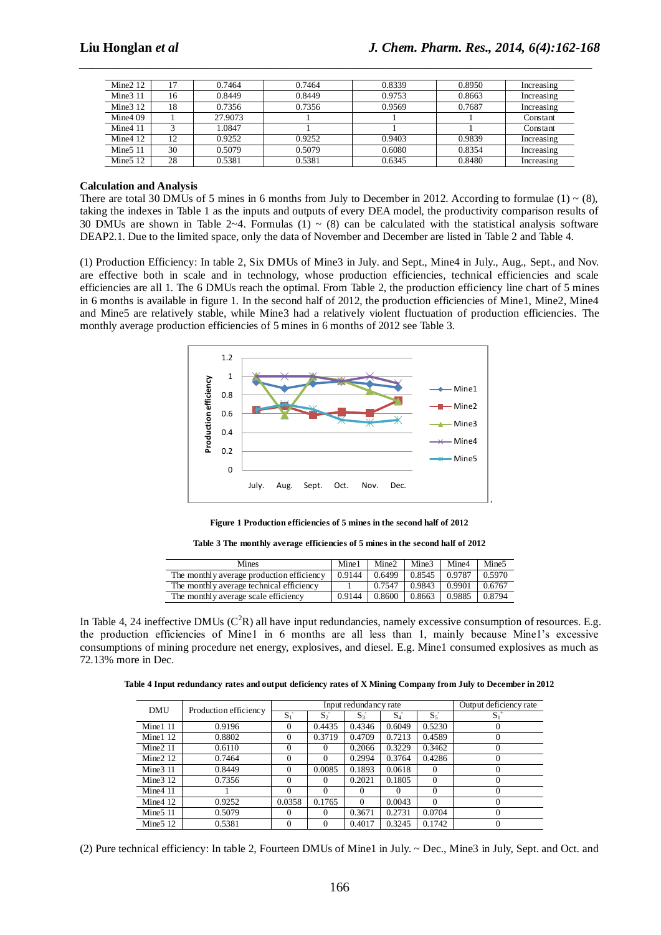| Mine $212$           |    | 0.7464  | 0.7464 | 0.8339<br>0.8950 |        | Increasing |
|----------------------|----|---------|--------|------------------|--------|------------|
| Mine $311$           | 16 | 0.8449  | 0.8449 | 0.9753           | 0.8663 | Increasing |
| Mine $312$           | 18 | 0.7356  | 0.7356 | 0.9569           | 0.7687 | Increasing |
| Mine $409$           |    | 27.9073 |        |                  |        | Constant   |
| Mine411              |    | 1.0847  |        |                  |        | Constant   |
| Mine $412$           | 12 | 0.9252  | 0.9252 | 0.9403           | 0.9839 | Increasing |
| Mine <sub>5</sub> 11 | 30 | 0.5079  | 0.5079 | 0.6080           | 0.8354 | Increasing |
| Mine $512$           | 28 | 0.5381  | 0.5381 | 0.6345           | 0.8480 | Increasing |

*\_\_\_\_\_\_\_\_\_\_\_\_\_\_\_\_\_\_\_\_\_\_\_\_\_\_\_\_\_\_\_\_\_\_\_\_\_\_\_\_\_\_\_\_\_\_\_\_\_\_\_\_\_\_\_\_\_\_\_\_\_\_\_\_\_\_\_\_\_\_\_\_\_\_\_\_\_*

#### **Calculation and Analysis**

There are total 30 DMUs of 5 mines in 6 months from July to December in 2012. According to formulae (1)  $\sim$  (8), taking the indexes in Table 1 as the inputs and outputs of every DEA model, the productivity comparison results of 30 DMUs are shown in Table 2~4. Formulas (1) ~ (8) can be calculated with the statistical analysis software DEAP2.1. Due to the limited space, only the data of November and December are listed in Table 2 and Table 4.

(1) Production Efficiency: In table 2, Six DMUs of Mine3 in July. and Sept., Mine4 in July., Aug., Sept., and Nov. are effective both in scale and in technology, whose production efficiencies, technical efficiencies and scale efficiencies are all 1. The 6 DMUs reach the optimal. From Table 2, the production efficiency line chart of 5 mines in 6 months is available in figure 1. In the second half of 2012, the production efficiencies of Mine1, Mine2, Mine4 and Mine5 are relatively stable, while Mine3 had a relatively violent fluctuation of production efficiencies. The monthly average production efficiencies of 5 mines in 6 months of 2012 see Table 3.



**Figure 1 Production efficiencies of 5 mines in the second half of 2012**

**Table 3 The monthly average efficiencies of 5 mines in the second half of 2012**

| Mines                                     | Mine1  | Mine2  | Mine <sub>3</sub> | Mine4   | Mine <sub>5</sub> |
|-------------------------------------------|--------|--------|-------------------|---------|-------------------|
| The monthly average production efficiency | 0.9144 | 0.6499 | 0.8545            | 0.9787  | 0.5970            |
| The monthly average technical efficiency  |        | 0.7547 | 0.9843            | 10.9901 | 0.6767            |
| The monthly average scale efficiency      | 0.9144 | 0.8600 | 0.8663            | 0.9885  | 0.8794            |

In Table 4, 24 ineffective DMUs  $(C^{2}R)$  all have input redundancies, namely excessive consumption of resources. E.g. the production efficiencies of Mine1 in 6 months are all less than 1, mainly because Mine1's excessive consumptions of mining procedure net energy, explosives, and diesel. E.g. Mine1 consumed explosives as much as 72.13% more in Dec.

**Table 4 Input redundancy rates and output deficiency rates of X Mining Company from July to December in 2012**

| <b>DMU</b> | Production efficiency | Input redundancy rate |          |                    |          |          | Output deficiency rate |
|------------|-----------------------|-----------------------|----------|--------------------|----------|----------|------------------------|
|            |                       | $S_1^-$               | $S_2^-$  | $S_3$ <sup>-</sup> | $S_4$    | $S_5$    | $S_1^+$                |
| Mine $111$ | 0.9196                | $\Omega$              | 0.4435   | 0.4346             | 0.6049   | 0.5230   | $_{0}$                 |
| Mine $112$ | 0.8802                | $\Omega$              | 0.3719   | 0.4709             | 0.7213   | 0.4589   | 0                      |
| Mine $211$ | 0.6110                | 0                     | $^{(1)}$ | 0.2066             | 0.3229   | 0.3462   | $\theta$               |
| Mine $212$ | 0.7464                | $\Omega$              |          | 0.2994             | 0.3764   | 0.4286   | $\Omega$               |
| Mine $311$ | 0.8449                | $\Omega$              | 0.0085   | 0.1893             | 0.0618   | $\Omega$ | $^{(1)}$               |
| Mine $312$ | 0.7356                | $\Omega$              | $\theta$ | 0.2021             | 0.1805   | $\Omega$ | 0                      |
| Mine411    |                       | 0                     | 0        | 0                  | $^{(1)}$ | $\Omega$ | 0                      |
| Mine $412$ | 0.9252                | 0.0358                | 0.1765   | $\Omega$           | 0.0043   | $\Omega$ | 0                      |
| Mine $511$ | 0.5079                | $\Omega$              | $^{(1)}$ | 0.3671             | 0.2731   | 0.0704   | 0                      |
| Mine $512$ | 0.5381                |                       |          | 0.4017             | 0.3245   | 0.1742   |                        |

(2) Pure technical efficiency: In table 2, Fourteen DMUs of Mine1 in July. ~ Dec., Mine3 in July, Sept. and Oct. and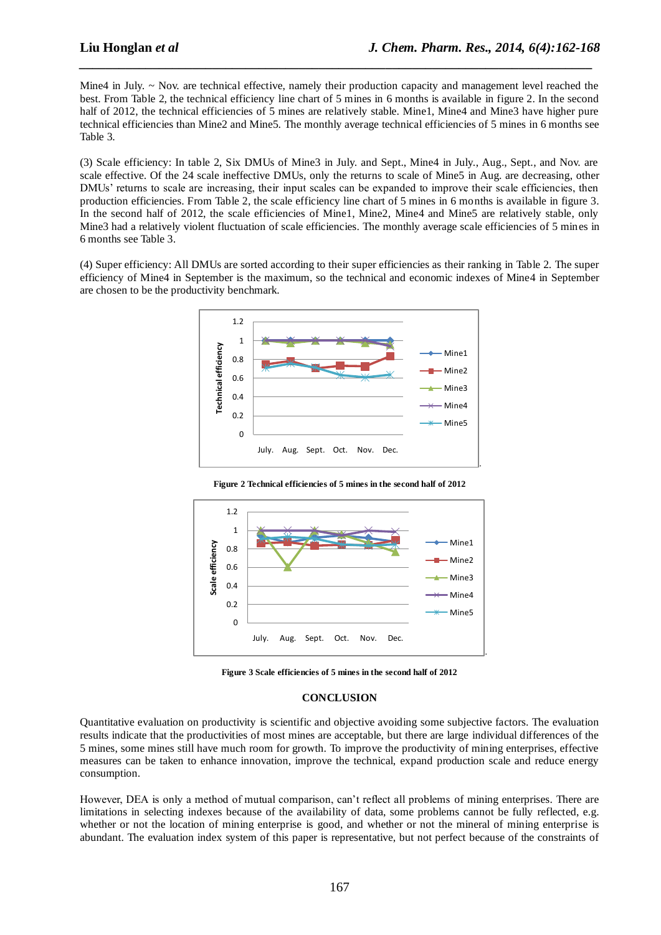Mine4 in July. ~ Nov. are technical effective, namely their production capacity and management level reached the best. From Table 2, the technical efficiency line chart of 5 mines in 6 months is available in figure 2. In the second half of 2012, the technical efficiencies of 5 mines are relatively stable. Mine1, Mine4 and Mine3 have higher pure technical efficiencies than Mine2 and Mine5. The monthly average technical efficiencies of 5 mines in 6 months see Table 3.

*\_\_\_\_\_\_\_\_\_\_\_\_\_\_\_\_\_\_\_\_\_\_\_\_\_\_\_\_\_\_\_\_\_\_\_\_\_\_\_\_\_\_\_\_\_\_\_\_\_\_\_\_\_\_\_\_\_\_\_\_\_\_\_\_\_\_\_\_\_\_\_\_\_\_\_\_\_*

(3) Scale efficiency: In table 2, Six DMUs of Mine3 in July. and Sept., Mine4 in July., Aug., Sept., and Nov. are scale effective. Of the 24 scale ineffective DMUs, only the returns to scale of Mine5 in Aug. are decreasing, other DMUs' returns to scale are increasing, their input scales can be expanded to improve their scale efficiencies, then production efficiencies. From Table 2, the scale efficiency line chart of 5 mines in 6 months is available in figure 3. In the second half of 2012, the scale efficiencies of Mine1, Mine2, Mine4 and Mine5 are relatively stable, only Mine3 had a relatively violent fluctuation of scale efficiencies. The monthly average scale efficiencies of 5 mines in 6 months see Table 3.

(4) Super efficiency: All DMUs are sorted according to their super efficiencies as their ranking in Table 2. The super efficiency of Mine4 in September is the maximum, so the technical and economic indexes of Mine4 in September are chosen to be the productivity benchmark.



**Figure 2 Technical efficiencies of 5 mines in the second half of 2012**



**Figure 3 Scale efficiencies of 5 mines in the second half of 2012**

#### **CONCLUSION**

Quantitative evaluation on productivity is scientific and objective avoiding some subjective factors. The evaluation results indicate that the productivities of most mines are acceptable, but there are large individual differences of the 5 mines, some mines still have much room for growth. To improve the productivity of mining enterprises, effective measures can be taken to enhance innovation, improve the technical, expand production scale and reduce energy consumption.

However, DEA is only a method of mutual comparison, can't reflect all problems of mining enterprises. There are limitations in selecting indexes because of the availability of data, some problems cannot be fully reflected, e.g. whether or not the location of mining enterprise is good, and whether or not the mineral of mining enterprise is abundant. The evaluation index system of this paper is representative, but not perfect because of the constraints of